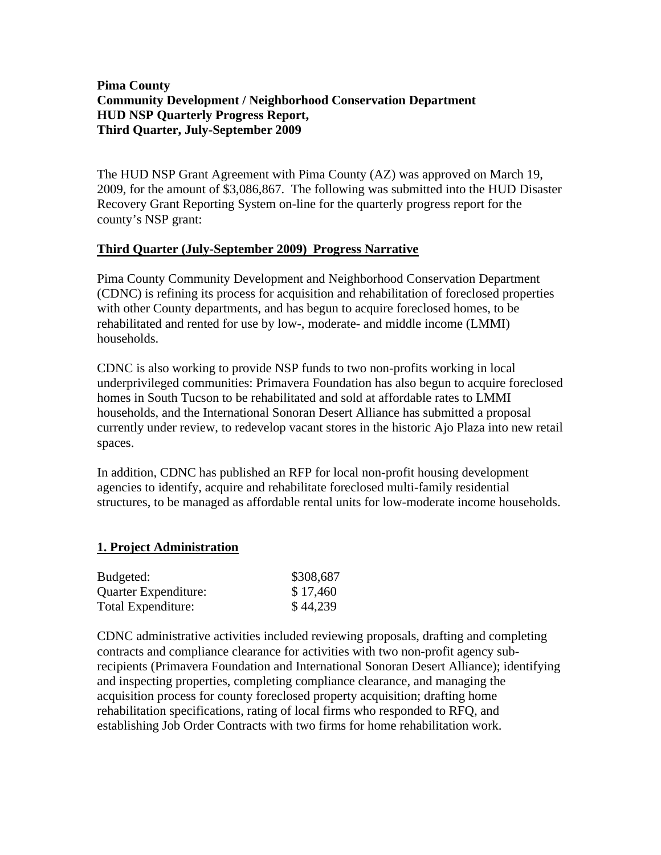# **Pima County Community Development / Neighborhood Conservation Department HUD NSP Quarterly Progress Report, Third Quarter, July-September 2009**

The HUD NSP Grant Agreement with Pima County (AZ) was approved on March 19, 2009, for the amount of \$3,086,867. The following was submitted into the HUD Disaster Recovery Grant Reporting System on-line for the quarterly progress report for the county's NSP grant:

### **Third Quarter (July-September 2009) Progress Narrative**

Pima County Community Development and Neighborhood Conservation Department (CDNC) is refining its process for acquisition and rehabilitation of foreclosed properties with other County departments, and has begun to acquire foreclosed homes, to be rehabilitated and rented for use by low-, moderate- and middle income (LMMI) households.

CDNC is also working to provide NSP funds to two non-profits working in local underprivileged communities: Primavera Foundation has also begun to acquire foreclosed homes in South Tucson to be rehabilitated and sold at affordable rates to LMMI households, and the International Sonoran Desert Alliance has submitted a proposal currently under review, to redevelop vacant stores in the historic Ajo Plaza into new retail spaces.

In addition, CDNC has published an RFP for local non-profit housing development agencies to identify, acquire and rehabilitate foreclosed multi-family residential structures, to be managed as affordable rental units for low-moderate income households.

# **1. Project Administration**

| Budgeted:            | \$308,687 |
|----------------------|-----------|
| Quarter Expenditure: | \$17,460  |
| Total Expenditure:   | \$44,239  |

CDNC administrative activities included reviewing proposals, drafting and completing contracts and compliance clearance for activities with two non-profit agency subrecipients (Primavera Foundation and International Sonoran Desert Alliance); identifying and inspecting properties, completing compliance clearance, and managing the acquisition process for county foreclosed property acquisition; drafting home rehabilitation specifications, rating of local firms who responded to RFQ, and establishing Job Order Contracts with two firms for home rehabilitation work.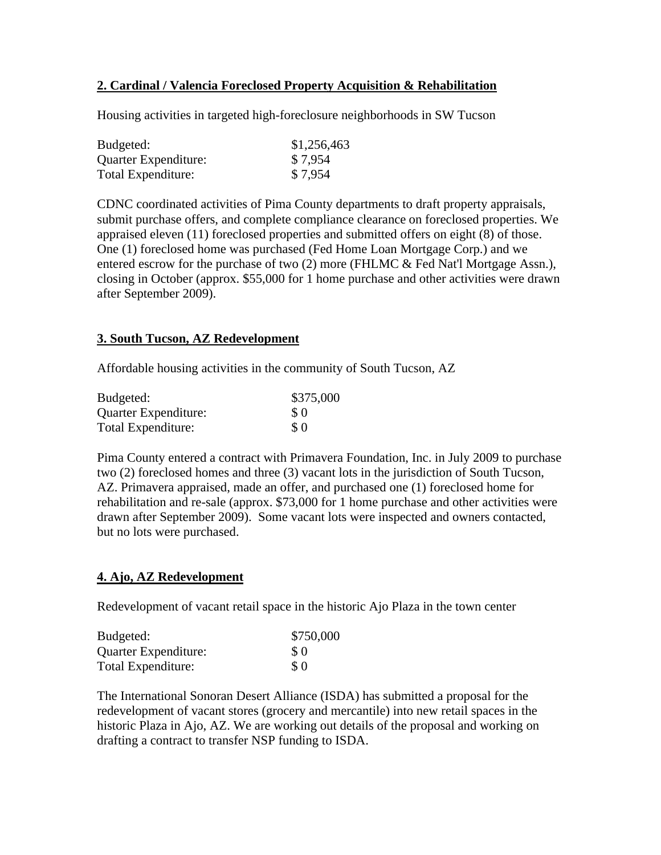# **2. Cardinal / Valencia Foreclosed Property Acquisition & Rehabilitation**

Housing activities in targeted high-foreclosure neighborhoods in SW Tucson

| Budgeted:            | \$1,256,463 |
|----------------------|-------------|
| Quarter Expenditure: | \$7,954     |
| Total Expenditure:   | \$7,954     |

CDNC coordinated activities of Pima County departments to draft property appraisals, submit purchase offers, and complete compliance clearance on foreclosed properties. We appraised eleven (11) foreclosed properties and submitted offers on eight (8) of those. One (1) foreclosed home was purchased (Fed Home Loan Mortgage Corp.) and we entered escrow for the purchase of two (2) more (FHLMC & Fed Nat'l Mortgage Assn.), closing in October (approx. \$55,000 for 1 home purchase and other activities were drawn after September 2009).

#### **3. South Tucson, AZ Redevelopment**

Affordable housing activities in the community of South Tucson, AZ

| Budgeted:            | \$375,000 |
|----------------------|-----------|
| Quarter Expenditure: | \$0       |
| Total Expenditure:   | $\Omega$  |

Pima County entered a contract with Primavera Foundation, Inc. in July 2009 to purchase two (2) foreclosed homes and three (3) vacant lots in the jurisdiction of South Tucson, AZ. Primavera appraised, made an offer, and purchased one (1) foreclosed home for rehabilitation and re-sale (approx. \$73,000 for 1 home purchase and other activities were drawn after September 2009). Some vacant lots were inspected and owners contacted, but no lots were purchased.

#### **4. Ajo, AZ Redevelopment**

Redevelopment of vacant retail space in the historic Ajo Plaza in the town center

| Budgeted:            | \$750,000 |
|----------------------|-----------|
| Quarter Expenditure: | \$0       |
| Total Expenditure:   | \$0       |

The International Sonoran Desert Alliance (ISDA) has submitted a proposal for the redevelopment of vacant stores (grocery and mercantile) into new retail spaces in the historic Plaza in Ajo, AZ. We are working out details of the proposal and working on drafting a contract to transfer NSP funding to ISDA.